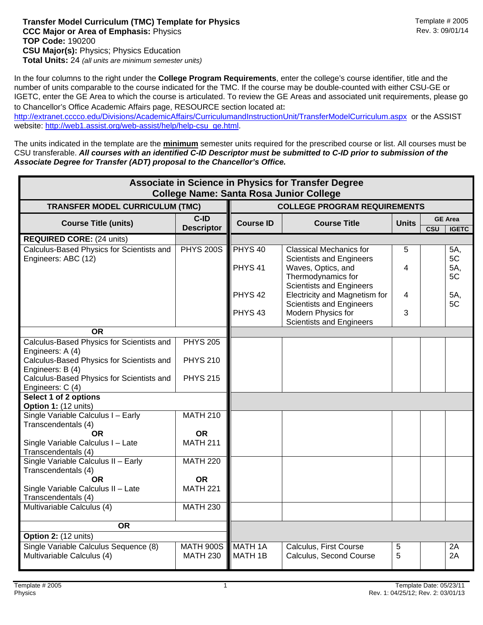## **Transfer Model Curriculum (TMC) Template for Physics**<br>**CCC Maior or Area of Emphasis:** Physics **The Exercise 2005** Rev. 3: 09/01/14 **CCC Major or Area of Emphasis: Physics TOP Code:** 190200 **CSU Major(s):** Physics; Physics Education **Total Units:** 24 *(all units are minimum semester units)*

In the four columns to the right under the **College Program Requirements**, enter the college's course identifier, title and the number of units comparable to the course indicated for the TMC. If the course may be double-counted with either CSU-GE or IGETC, enter the GE Area to which the course is articulated. To review the GE Areas and associated unit requirements, please go to Chancellor's Office Academic Affairs page, RESOURCE section located at: 

http://extranet.cccco.edu/Divisions/AcademicAffairs/CurriculumandInstructionUnit/TransferModelCurriculum.aspx or the ASSIST website: http://web1.assist.org/web-assist/help/help-csu\_ge.html.

The units indicated in the template are the **minimum** semester units required for the prescribed course or list. All courses must be CSU transferable. *All courses with an identified C-ID Descriptor must be submitted to C-ID prior to submission of the Associate Degree for Transfer (ADT) proposal to the Chancellor's Office.*

| Associate in Science in Physics for Transfer Degree<br><b>College Name: Santa Rosa Junior College</b> |                                     |                                          |                                                                                         |              |     |                                |  |  |  |  |  |  |
|-------------------------------------------------------------------------------------------------------|-------------------------------------|------------------------------------------|-----------------------------------------------------------------------------------------|--------------|-----|--------------------------------|--|--|--|--|--|--|
| <b>TRANSFER MODEL CURRICULUM (TMC)</b>                                                                | <b>COLLEGE PROGRAM REQUIREMENTS</b> |                                          |                                                                                         |              |     |                                |  |  |  |  |  |  |
| <b>Course Title (units)</b>                                                                           | C-ID<br><b>Descriptor</b>           | <b>Course ID</b>                         | <b>Course Title</b>                                                                     | <b>Units</b> | CSU | <b>GE Area</b><br><b>IGETC</b> |  |  |  |  |  |  |
| <b>REQUIRED CORE: (24 units)</b>                                                                      |                                     |                                          |                                                                                         |              |     |                                |  |  |  |  |  |  |
| Calculus-Based Physics for Scientists and<br>Engineers: ABC (12)                                      | <b>PHYS 200S</b>                    | PHYS <sub>40</sub><br>PHYS <sub>41</sub> | <b>Classical Mechanics for</b><br><b>Scientists and Engineers</b><br>Waves, Optics, and | 5<br>4       |     | 5A,<br>5C<br>5A,               |  |  |  |  |  |  |
|                                                                                                       |                                     |                                          | Thermodynamics for<br><b>Scientists and Engineers</b>                                   |              |     | 5C                             |  |  |  |  |  |  |
|                                                                                                       |                                     | PHYS <sub>42</sub>                       | Electricity and Magnetism for<br><b>Scientists and Engineers</b>                        | 4            |     | 5A,<br>5C                      |  |  |  |  |  |  |
|                                                                                                       |                                     | PHYS <sub>43</sub>                       | Modern Physics for<br><b>Scientists and Engineers</b>                                   | 3            |     |                                |  |  |  |  |  |  |
| <b>OR</b>                                                                                             |                                     |                                          |                                                                                         |              |     |                                |  |  |  |  |  |  |
| Calculus-Based Physics for Scientists and<br>Engineers: A (4)                                         | <b>PHYS 205</b>                     |                                          |                                                                                         |              |     |                                |  |  |  |  |  |  |
| Calculus-Based Physics for Scientists and<br>Engineers: B (4)                                         | <b>PHYS 210</b>                     |                                          |                                                                                         |              |     |                                |  |  |  |  |  |  |
| Calculus-Based Physics for Scientists and<br>Engineers: C (4)                                         | <b>PHYS 215</b>                     |                                          |                                                                                         |              |     |                                |  |  |  |  |  |  |
| Select 1 of 2 options<br>Option 1: (12 units)                                                         |                                     |                                          |                                                                                         |              |     |                                |  |  |  |  |  |  |
| Single Variable Calculus I - Early<br>Transcendentals (4)                                             | <b>MATH 210</b>                     |                                          |                                                                                         |              |     |                                |  |  |  |  |  |  |
| OR.                                                                                                   | OR.                                 |                                          |                                                                                         |              |     |                                |  |  |  |  |  |  |
| Single Variable Calculus I - Late<br>Transcendentals (4)                                              | <b>MATH 211</b>                     |                                          |                                                                                         |              |     |                                |  |  |  |  |  |  |
| Single Variable Calculus II - Early<br>Transcendentals (4)                                            | <b>MATH 220</b>                     |                                          |                                                                                         |              |     |                                |  |  |  |  |  |  |
| <b>OR</b>                                                                                             | <b>OR</b>                           |                                          |                                                                                         |              |     |                                |  |  |  |  |  |  |
| Single Variable Calculus II - Late<br>Transcendentals (4)                                             | <b>MATH 221</b>                     |                                          |                                                                                         |              |     |                                |  |  |  |  |  |  |
| Multivariable Calculus (4)                                                                            | <b>MATH 230</b>                     |                                          |                                                                                         |              |     |                                |  |  |  |  |  |  |
| <b>OR</b>                                                                                             |                                     |                                          |                                                                                         |              |     |                                |  |  |  |  |  |  |
| Option 2: (12 units)                                                                                  |                                     |                                          |                                                                                         |              |     |                                |  |  |  |  |  |  |
| Single Variable Calculus Sequence (8)<br>Multivariable Calculus (4)                                   | <b>MATH 900S</b><br><b>MATH 230</b> | MATH <sub>1A</sub><br>MATH 1B            | Calculus, First Course<br>Calculus, Second Course                                       | 5<br>5       |     | 2A<br>2A                       |  |  |  |  |  |  |